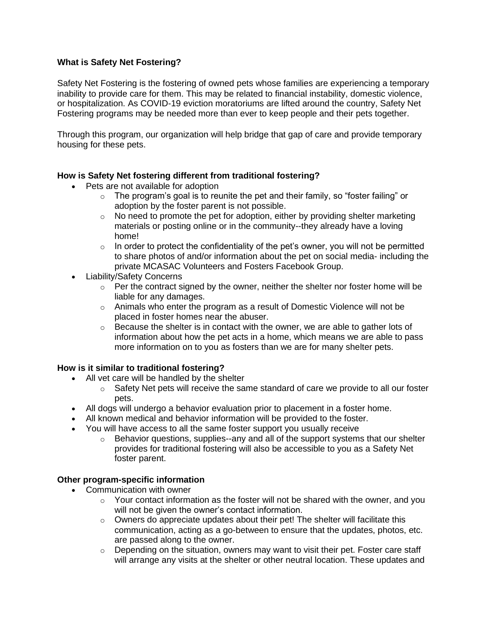# **What is Safety Net Fostering?**

Safety Net Fostering is the fostering of owned pets whose families are experiencing a temporary inability to provide care for them. This may be related to financial instability, domestic violence, or hospitalization. As COVID-19 eviction moratoriums are lifted around the country, Safety Net Fostering programs may be needed more than ever to keep people and their pets together.

Through this program, our organization will help bridge that gap of care and provide temporary housing for these pets.

## **How is Safety Net fostering different from traditional fostering?**

- Pets are not available for adoption
	- $\circ$  The program's goal is to reunite the pet and their family, so "foster failing" or adoption by the foster parent is not possible.
	- $\circ$  No need to promote the pet for adoption, either by providing shelter marketing materials or posting online or in the community--they already have a loving home!
	- $\circ$  In order to protect the confidentiality of the pet's owner, you will not be permitted to share photos of and/or information about the pet on social media- including the private MCASAC Volunteers and Fosters Facebook Group.
- Liability/Safety Concerns
	- $\circ$  Per the contract signed by the owner, neither the shelter nor foster home will be liable for any damages.
	- $\circ$  Animals who enter the program as a result of Domestic Violence will not be placed in foster homes near the abuser.
	- $\circ$  Because the shelter is in contact with the owner, we are able to gather lots of information about how the pet acts in a home, which means we are able to pass more information on to you as fosters than we are for many shelter pets.

## **How is it similar to traditional fostering?**

- All vet care will be handled by the shelter
	- $\circ$  Safety Net pets will receive the same standard of care we provide to all our foster pets.
- All dogs will undergo a behavior evaluation prior to placement in a foster home.
- All known medical and behavior information will be provided to the foster.
- You will have access to all the same foster support you usually receive
	- $\circ$  Behavior questions, supplies--any and all of the support systems that our shelter provides for traditional fostering will also be accessible to you as a Safety Net foster parent.

## **Other program-specific information**

- Communication with owner
	- $\circ$  Your contact information as the foster will not be shared with the owner, and you will not be given the owner's contact information.
	- o Owners do appreciate updates about their pet! The shelter will facilitate this communication, acting as a go-between to ensure that the updates, photos, etc. are passed along to the owner.
	- $\circ$  Depending on the situation, owners may want to visit their pet. Foster care staff will arrange any visits at the shelter or other neutral location. These updates and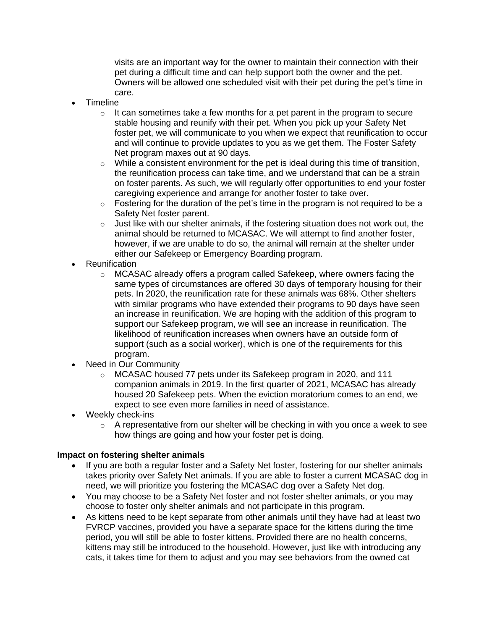visits are an important way for the owner to maintain their connection with their pet during a difficult time and can help support both the owner and the pet. Owners will be allowed one scheduled visit with their pet during the pet's time in care.

- Timeline
	- $\circ$  It can sometimes take a few months for a pet parent in the program to secure stable housing and reunify with their pet. When you pick up your Safety Net foster pet, we will communicate to you when we expect that reunification to occur and will continue to provide updates to you as we get them. The Foster Safety Net program maxes out at 90 days.
	- $\circ$  While a consistent environment for the pet is ideal during this time of transition, the reunification process can take time, and we understand that can be a strain on foster parents. As such, we will regularly offer opportunities to end your foster caregiving experience and arrange for another foster to take over.
	- $\circ$  Fostering for the duration of the pet's time in the program is not required to be a Safety Net foster parent.
	- $\circ$  Just like with our shelter animals, if the fostering situation does not work out, the animal should be returned to MCASAC. We will attempt to find another foster, however, if we are unable to do so, the animal will remain at the shelter under either our Safekeep or Emergency Boarding program.
- **Reunification** 
	- $\circ$  MCASAC already offers a program called Safekeep, where owners facing the same types of circumstances are offered 30 days of temporary housing for their pets. In 2020, the reunification rate for these animals was 68%. Other shelters with similar programs who have extended their programs to 90 days have seen an increase in reunification. We are hoping with the addition of this program to support our Safekeep program, we will see an increase in reunification. The likelihood of reunification increases when owners have an outside form of support (such as a social worker), which is one of the requirements for this program.
- **Need in Our Community** 
	- o MCASAC housed 77 pets under its Safekeep program in 2020, and 111 companion animals in 2019. In the first quarter of 2021, MCASAC has already housed 20 Safekeep pets. When the eviction moratorium comes to an end, we expect to see even more families in need of assistance.
- Weekly check-ins
	- $\circ$  A representative from our shelter will be checking in with you once a week to see how things are going and how your foster pet is doing.

## **Impact on fostering shelter animals**

- If you are both a regular foster and a Safety Net foster, fostering for our shelter animals takes priority over Safety Net animals. If you are able to foster a current MCASAC dog in need, we will prioritize you fostering the MCASAC dog over a Safety Net dog.
- You may choose to be a Safety Net foster and not foster shelter animals, or you may choose to foster only shelter animals and not participate in this program.
- As kittens need to be kept separate from other animals until they have had at least two FVRCP vaccines, provided you have a separate space for the kittens during the time period, you will still be able to foster kittens. Provided there are no health concerns, kittens may still be introduced to the household. However, just like with introducing any cats, it takes time for them to adjust and you may see behaviors from the owned cat